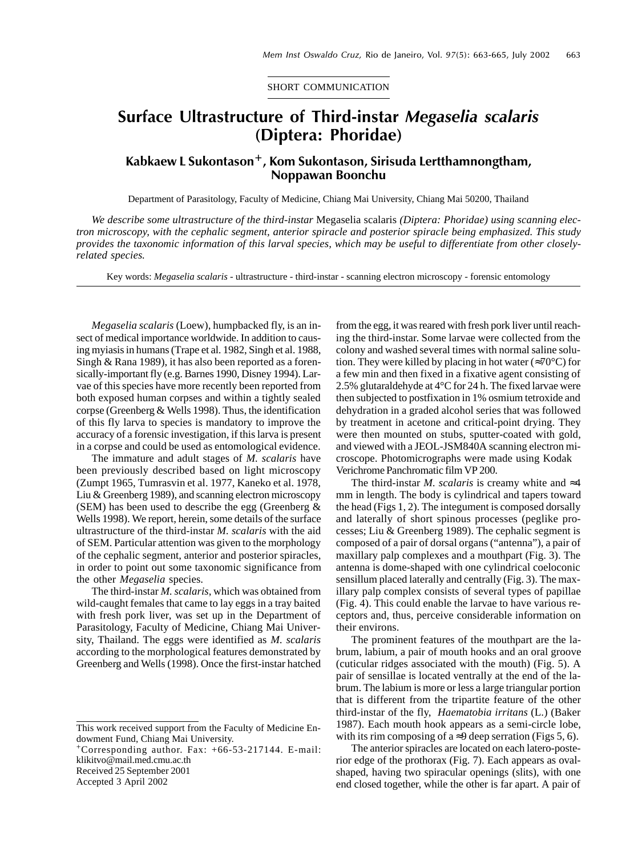SHORT COMMUNICATION

## Surface Ultrastructure of Third-instar Megaselia scalaris (Diptera: Phoridae)

## Kabkaew L Sukontason<sup>+</sup>, Kom Sukontason, Sirisuda Lertthamnongtham, Noppawan Boonchu

Department of Parasitology, Faculty of Medicine, Chiang Mai University, Chiang Mai 50200, Thailand

*We describe some ultrastructure of the third-instar* Megaselia scalaris *(Diptera: Phoridae) using scanning electron microscopy, with the cephalic segment, anterior spiracle and posterior spiracle being emphasized. This study provides the taxonomic information of this larval species, which may be useful to differentiate from other closelyrelated species.*

Key words: *Megaselia scalaris* - ultrastructure - third-instar - scanning electron microscopy - forensic entomology

*Megaselia scalaris* (Loew), humpbacked fly, is an insect of medical importance worldwide. In addition to causing myiasis in humans (Trape et al. 1982, Singh et al. 1988, Singh & Rana 1989), it has also been reported as a forensically-important fly (e.g. Barnes 1990, Disney 1994). Larvae of this species have more recently been reported from both exposed human corpses and within a tightly sealed corpse (Greenberg & Wells 1998). Thus, the identification of this fly larva to species is mandatory to improve the accuracy of a forensic investigation, if this larva is present in a corpse and could be used as entomological evidence.

The immature and adult stages of *M. scalaris* have been previously described based on light microscopy (Zumpt 1965, Tumrasvin et al. 1977, Kaneko et al. 1978, Liu & Greenberg 1989), and scanning electron microscopy (SEM) has been used to describe the egg (Greenberg  $\&$ Wells 1998). We report, herein, some details of the surface ultrastructure of the third-instar *M. scalaris* with the aid of SEM. Particular attention was given to the morphology of the cephalic segment, anterior and posterior spiracles, in order to point out some taxonomic significance from the other *Megaselia* species.

The third-instar *M. scalaris*, which was obtained from wild-caught females that came to lay eggs in a tray baited with fresh pork liver, was set up in the Department of Parasitology, Faculty of Medicine, Chiang Mai University, Thailand. The eggs were identified as *M. scalaris* according to the morphological features demonstrated by Greenberg and Wells (1998). Once the first-instar hatched

+Corresponding author. Fax: +66-53-217144. E-mail: klikitvo@mail.med.cmu.ac.th

Received 25 September 2001

Accepted 3 April 2002

from the egg, it was reared with fresh pork liver until reaching the third-instar. Some larvae were collected from the colony and washed several times with normal saline solution. They were killed by placing in hot water ( $\approx 70^{\circ}$ C) for a few min and then fixed in a fixative agent consisting of 2.5% glutaraldehyde at 4°C for 24 h. The fixed larvae were then subjected to postfixation in 1% osmium tetroxide and dehydration in a graded alcohol series that was followed by treatment in acetone and critical-point drying. They were then mounted on stubs, sputter-coated with gold, and viewed with a JEOL-JSM840A scanning electron microscope. Photomicrographs were made using Kodak Verichrome Panchromatic film VP 200.

The third-instar *M. scalaris* is creamy white and  $\approx$ 4 mm in length. The body is cylindrical and tapers toward the head (Figs 1, 2). The integument is composed dorsally and laterally of short spinous processes (peglike processes; Liu & Greenberg 1989). The cephalic segment is composed of a pair of dorsal organs ("antenna"), a pair of maxillary palp complexes and a mouthpart (Fig. 3). The antenna is dome-shaped with one cylindrical coeloconic sensillum placed laterally and centrally (Fig. 3). The maxillary palp complex consists of several types of papillae (Fig. 4). This could enable the larvae to have various receptors and, thus, perceive considerable information on their environs.

The prominent features of the mouthpart are the labrum, labium, a pair of mouth hooks and an oral groove (cuticular ridges associated with the mouth) (Fig. 5). A pair of sensillae is located ventrally at the end of the labrum. The labium is more or less a large triangular portion that is different from the tripartite feature of the other third-instar of the fly, *Haematobia irritans* (L.) (Baker 1987). Each mouth hook appears as a semi-circle lobe, with its rim composing of a  $\approx$ 9 deep serration (Figs 5, 6).

The anterior spiracles are located on each latero-posterior edge of the prothorax (Fig. 7). Each appears as ovalshaped, having two spiracular openings (slits), with one end closed together, while the other is far apart. A pair of

This work received support from the Faculty of Medicine Endowment Fund, Chiang Mai University.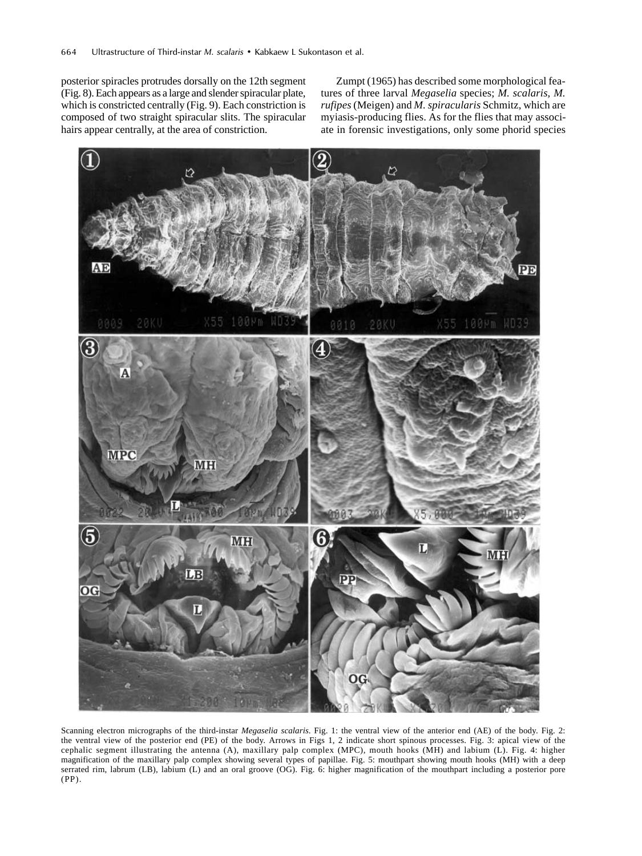posterior spiracles protrudes dorsally on the 12th segment (Fig. 8). Each appears as a large and slender spiracular plate, which is constricted centrally (Fig. 9). Each constriction is composed of two straight spiracular slits. The spiracular hairs appear centrally, at the area of constriction.

Zumpt (1965) has described some morphological features of three larval *Megaselia* species; *M. scalaris, M. rufipes* (Meigen) and *M. spiracularis* Schmitz, which are myiasis-producing flies. As for the flies that may associate in forensic investigations, only some phorid species



Scanning electron micrographs of the third-instar *Megaselia scalaris*. Fig. 1: the ventral view of the anterior end (AE) of the body. Fig. 2: the ventral view of the posterior end (PE) of the body. Arrows in Figs 1, 2 indicate short spinous processes. Fig. 3: apical view of the cephalic segment illustrating the antenna (A), maxillary palp complex (MPC), mouth hooks (MH) and labium (L). Fig. 4: higher magnification of the maxillary palp complex showing several types of papillae. Fig. 5: mouthpart showing mouth hooks (MH) with a deep serrated rim, labrum (LB), labium (L) and an oral groove (OG). Fig. 6: higher magnification of the mouthpart including a posterior pore (PP).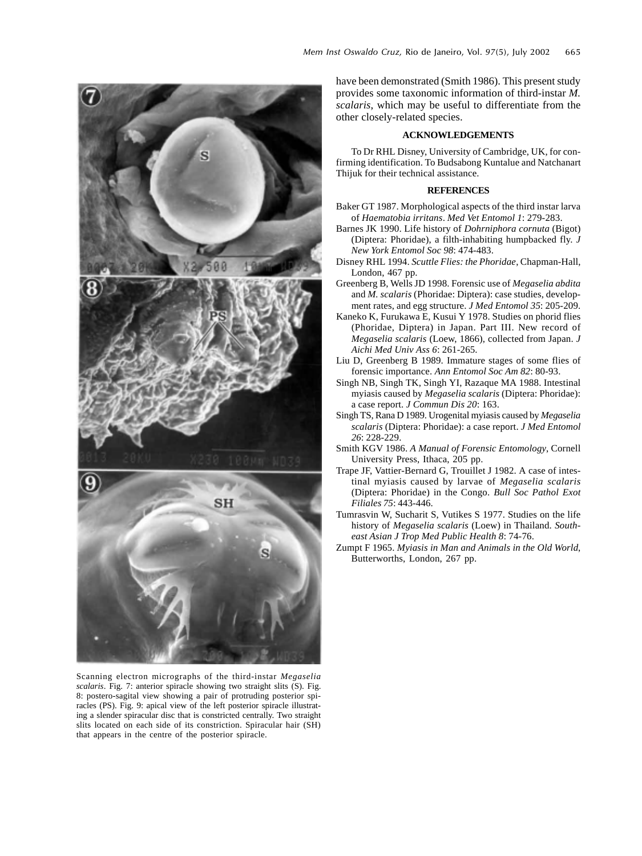

Scanning electron micrographs of the third-instar *Megaselia scalaris*. Fig. 7: anterior spiracle showing two straight slits (S). Fig. 8: postero-sagital view showing a pair of protruding posterior spiracles (PS). Fig. 9: apical view of the left posterior spiracle illustrating a slender spiracular disc that is constricted centrally. Two straight slits located on each side of its constriction. Spiracular hair (SH) that appears in the centre of the posterior spiracle.

have been demonstrated (Smith 1986). This present study provides some taxonomic information of third-instar *M. scalaris*, which may be useful to differentiate from the other closely-related species.

## **ACKNOWLEDGEMENTS**

To Dr RHL Disney, University of Cambridge, UK, for confirming identification. To Budsabong Kuntalue and Natchanart Thijuk for their technical assistance.

## **REFERENCES**

- Baker GT 1987. Morphological aspects of the third instar larva of *Haematobia irritans*. *Med Vet Entomol 1*: 279-283.
- Barnes JK 1990. Life history of *Dohrniphora cornuta* (Bigot) (Diptera: Phoridae), a filth-inhabiting humpbacked fly. *J New York Entomol Soc 98*: 474-483.
- Disney RHL 1994. *Scuttle Flies: the Phoridae*, Chapman-Hall, London, 467 pp.
- Greenberg B, Wells JD 1998. Forensic use of *Megaselia abdita* and *M. scalaris* (Phoridae: Diptera): case studies, development rates, and egg structure. *J Med Entomol 35*: 205-209.
- Kaneko K, Furukawa E, Kusui Y 1978. Studies on phorid flies (Phoridae, Diptera) in Japan. Part III. New record of *Megaselia scalaris* (Loew, 1866), collected from Japan. *J Aichi Med Univ Ass 6*: 261-265.
- Liu D, Greenberg B 1989. Immature stages of some flies of forensic importance. *Ann Entomol Soc Am 82*: 80-93.
- Singh NB, Singh TK, Singh YI, Razaque MA 1988. Intestinal myiasis caused by *Megaselia scalaris* (Diptera: Phoridae): a case report. *J Commun Dis 20*: 163.
- Singh TS, Rana D 1989. Urogenital myiasis caused by *Megaselia scalaris* (Diptera: Phoridae): a case report. *J Med Entomol 26*: 228-229.
- Smith KGV 1986. *A Manual of Forensic Entomology*, Cornell University Press, Ithaca, 205 pp.
- Trape JF, Vattier-Bernard G, Trouillet J 1982. A case of intestinal myiasis caused by larvae of *Megaselia scalaris* (Diptera: Phoridae) in the Congo. *Bull Soc Pathol Exot Filiales 75*: 443-446.
- Tumrasvin W, Sucharit S, Vutikes S 1977. Studies on the life history of *Megaselia scalaris* (Loew) in Thailand. *Southeast Asian J Trop Med Public Health 8*: 74-76.
- Zumpt F 1965. *Myiasis in Man and Animals in the Old World*, Butterworths, London, 267 pp.